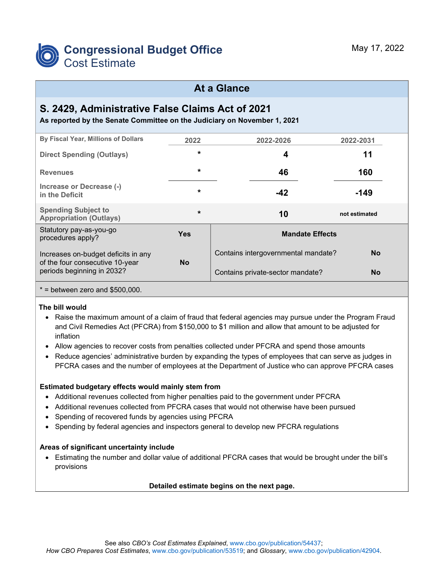

#### **At a Glance**

### **S. 2429, Administrative False Claims Act of 2021**

**As reported by the Senate Committee on the Judiciary on November 1, 2021**

| By Fiscal Year, Millions of Dollars                                                                  | 2022       | 2022-2026                           | 2022-2031     |  |  |  |
|------------------------------------------------------------------------------------------------------|------------|-------------------------------------|---------------|--|--|--|
| <b>Direct Spending (Outlays)</b>                                                                     | $\star$    | 4                                   | 11            |  |  |  |
| <b>Revenues</b>                                                                                      | $\star$    | 46                                  | 160           |  |  |  |
| Increase or Decrease (-)<br>in the Deficit                                                           | $\star$    | $-42$                               | $-149$        |  |  |  |
| <b>Spending Subject to</b><br><b>Appropriation (Outlays)</b>                                         | $\star$    | 10                                  | not estimated |  |  |  |
| Statutory pay-as-you-go<br>procedures apply?                                                         | <b>Yes</b> | <b>Mandate Effects</b>              |               |  |  |  |
| Increases on-budget deficits in any<br>of the four consecutive 10-year<br>periods beginning in 2032? | <b>No</b>  | Contains intergovernmental mandate? | <b>No</b>     |  |  |  |
|                                                                                                      |            | Contains private-sector mandate?    | <b>No</b>     |  |  |  |

 $*$  = between zero and \$500,000.

#### **The bill would**

- Raise the maximum amount of a claim of fraud that federal agencies may pursue under the Program Fraud and Civil Remedies Act (PFCRA) from \$150,000 to \$1 million and allow that amount to be adjusted for inflation
- Allow agencies to recover costs from penalties collected under PFCRA and spend those amounts
- Reduce agencies' administrative burden by expanding the types of employees that can serve as judges in PFCRA cases and the number of employees at the Department of Justice who can approve PFCRA cases

#### **Estimated budgetary effects would mainly stem from**

- Additional revenues collected from higher penalties paid to the government under PFCRA
- Additional revenues collected from PFCRA cases that would not otherwise have been pursued
- Spending of recovered funds by agencies using PFCRA
- Spending by federal agencies and inspectors general to develop new PFCRA regulations

#### **Areas of significant uncertainty include**

• Estimating the number and dollar value of additional PFCRA cases that would be brought under the bill's provisions

#### **Detailed estimate begins on the next page.**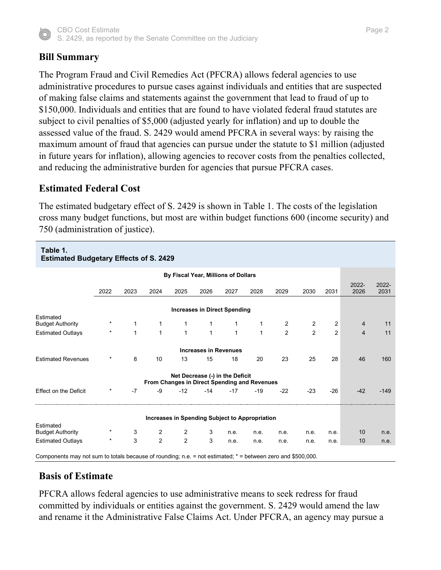

# **Bill Summary**

The Program Fraud and Civil Remedies Act (PFCRA) allows federal agencies to use administrative procedures to pursue cases against individuals and entities that are suspected of making false claims and statements against the government that lead to fraud of up to \$150,000. Individuals and entities that are found to have violated federal fraud statutes are subject to civil penalties of \$5,000 (adjusted yearly for inflation) and up to double the assessed value of the fraud. S. 2429 would amend PFCRA in several ways: by raising the maximum amount of fraud that agencies can pursue under the statute to \$1 million (adjusted in future years for inflation), allowing agencies to recover costs from the penalties collected, and reducing the administrative burden for agencies that pursue PFCRA cases.

### **Estimated Federal Cost**

The estimated budgetary effect of S. 2429 is shown in Table 1. The costs of the legislation cross many budget functions, but most are within budget functions 600 (income security) and 750 (administration of justice).

| Table 1.<br><b>Estimated Budgetary Effects of S. 2429</b>                                                   |          |             |                |                                                |                                 |             |       |                |                |                         |                |                  |  |
|-------------------------------------------------------------------------------------------------------------|----------|-------------|----------------|------------------------------------------------|---------------------------------|-------------|-------|----------------|----------------|-------------------------|----------------|------------------|--|
| By Fiscal Year, Millions of Dollars                                                                         |          |             |                |                                                |                                 |             |       |                |                |                         |                |                  |  |
|                                                                                                             | 2022     | 2023        | 2024           | 2025                                           | 2026                            | 2027        | 2028  | 2029           | 2030           | 2031                    | 2022-<br>2026  | $2022 -$<br>2031 |  |
| <b>Increases in Direct Spending</b><br>Estimated                                                            |          |             |                |                                                |                                 |             |       |                |                |                         |                |                  |  |
| <b>Budget Authority</b>                                                                                     | $^\star$ |             | 1              | 1                                              | 1                               | 1           | 1     | $\overline{c}$ | $\overline{2}$ | $\overline{\mathbf{c}}$ | $\overline{4}$ | 11               |  |
| <b>Estimated Outlays</b>                                                                                    | $\star$  | $\mathbf 1$ | $\mathbf{1}$   | $\mathbf{1}$                                   | $\mathbf{1}$                    | $\mathbf 1$ | 1     | $\mathfrak{p}$ | $\mathfrak{p}$ | $\overline{2}$          | $\overline{4}$ | 11               |  |
| <b>Increases in Revenues</b>                                                                                |          |             |                |                                                |                                 |             |       |                |                |                         |                |                  |  |
| <b>Estimated Revenues</b>                                                                                   | $\ast$   | 8           | 10             | 13                                             | 15                              | 18          | 20    | 23             | 25             | 28                      | 46             | 160              |  |
|                                                                                                             |          |             |                | From Changes in Direct Spending and Revenues   | Net Decrease (-) in the Deficit |             |       |                |                |                         |                |                  |  |
| <b>Effect on the Deficit</b>                                                                                | $^\ast$  | $-7$        | $-9$           | $-12$                                          | $-14$                           | $-17$       | $-19$ | $-22$          | $-23$          | $-26$                   | $-42$          | $-149$           |  |
|                                                                                                             |          |             |                | Increases in Spending Subject to Appropriation |                                 |             |       |                |                |                         |                |                  |  |
| Estimated                                                                                                   |          |             |                |                                                |                                 |             |       |                |                |                         |                |                  |  |
| <b>Budget Authority</b>                                                                                     | $^\ast$  | 3           | $\overline{2}$ | $\overline{2}$                                 | 3                               | n.e.        | n.e.  | n.e.           | n.e.           | n.e.                    | 10             | n.e.             |  |
| <b>Estimated Outlays</b>                                                                                    | $^\star$ | 3           | $\overline{2}$ | $\overline{2}$                                 | 3                               | n.e.        | n.e.  | n.e.           | n.e.           | n.e.                    | 10             | n.e.             |  |
| Components may not sum to totals because of rounding; n.e. = not estimated; * = between zero and \$500,000. |          |             |                |                                                |                                 |             |       |                |                |                         |                |                  |  |

# **Basis of Estimate**

PFCRA allows federal agencies to use administrative means to seek redress for fraud committed by individuals or entities against the government. S. 2429 would amend the law and rename it the Administrative False Claims Act. Under PFCRA, an agency may pursue a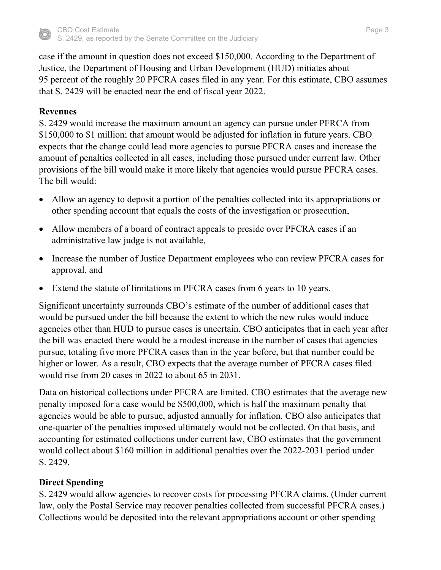

case if the amount in question does not exceed \$150,000. According to the Department of Justice, the Department of Housing and Urban Development (HUD) initiates about 95 percent of the roughly 20 PFCRA cases filed in any year. For this estimate, CBO assumes that S. 2429 will be enacted near the end of fiscal year 2022.

#### **Revenues**

S. 2429 would increase the maximum amount an agency can pursue under PFRCA from \$150,000 to \$1 million; that amount would be adjusted for inflation in future years. CBO expects that the change could lead more agencies to pursue PFCRA cases and increase the amount of penalties collected in all cases, including those pursued under current law. Other provisions of the bill would make it more likely that agencies would pursue PFCRA cases. The bill would:

- Allow an agency to deposit a portion of the penalties collected into its appropriations or other spending account that equals the costs of the investigation or prosecution,
- Allow members of a board of contract appeals to preside over PFCRA cases if an administrative law judge is not available,
- Increase the number of Justice Department employees who can review PFCRA cases for approval, and
- Extend the statute of limitations in PFCRA cases from 6 years to 10 years.

Significant uncertainty surrounds CBO's estimate of the number of additional cases that would be pursued under the bill because the extent to which the new rules would induce agencies other than HUD to pursue cases is uncertain. CBO anticipates that in each year after the bill was enacted there would be a modest increase in the number of cases that agencies pursue, totaling five more PFCRA cases than in the year before, but that number could be higher or lower. As a result, CBO expects that the average number of PFCRA cases filed would rise from 20 cases in 2022 to about 65 in 2031.

Data on historical collections under PFCRA are limited. CBO estimates that the average new penalty imposed for a case would be \$500,000, which is half the maximum penalty that agencies would be able to pursue, adjusted annually for inflation. CBO also anticipates that one-quarter of the penalties imposed ultimately would not be collected. On that basis, and accounting for estimated collections under current law, CBO estimates that the government would collect about \$160 million in additional penalties over the 2022-2031 period under S. 2429.

#### **Direct Spending**

S. 2429 would allow agencies to recover costs for processing PFCRA claims. (Under current law, only the Postal Service may recover penalties collected from successful PFCRA cases.) Collections would be deposited into the relevant appropriations account or other spending